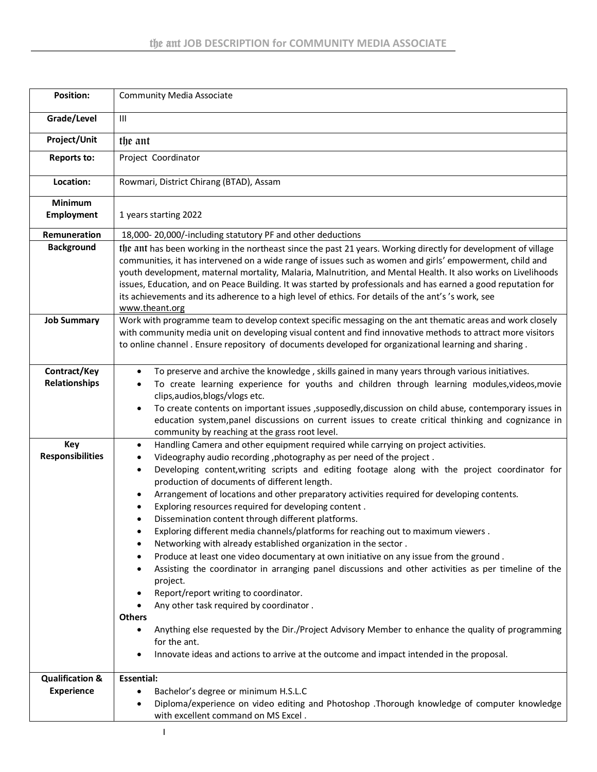| <b>Position:</b>                                | <b>Community Media Associate</b>                                                                                                                                                                                                                                                                                                                                                                                                                                                                                                                                                                                                                                                                                                                                                                                                                                                                                                                                                                                                                                                                                                                                                                                                                                                 |
|-------------------------------------------------|----------------------------------------------------------------------------------------------------------------------------------------------------------------------------------------------------------------------------------------------------------------------------------------------------------------------------------------------------------------------------------------------------------------------------------------------------------------------------------------------------------------------------------------------------------------------------------------------------------------------------------------------------------------------------------------------------------------------------------------------------------------------------------------------------------------------------------------------------------------------------------------------------------------------------------------------------------------------------------------------------------------------------------------------------------------------------------------------------------------------------------------------------------------------------------------------------------------------------------------------------------------------------------|
| Grade/Level                                     | $\mathbf{III}$                                                                                                                                                                                                                                                                                                                                                                                                                                                                                                                                                                                                                                                                                                                                                                                                                                                                                                                                                                                                                                                                                                                                                                                                                                                                   |
| Project/Unit                                    | the ant                                                                                                                                                                                                                                                                                                                                                                                                                                                                                                                                                                                                                                                                                                                                                                                                                                                                                                                                                                                                                                                                                                                                                                                                                                                                          |
| <b>Reports to:</b>                              | Project Coordinator                                                                                                                                                                                                                                                                                                                                                                                                                                                                                                                                                                                                                                                                                                                                                                                                                                                                                                                                                                                                                                                                                                                                                                                                                                                              |
| Location:                                       | Rowmari, District Chirang (BTAD), Assam                                                                                                                                                                                                                                                                                                                                                                                                                                                                                                                                                                                                                                                                                                                                                                                                                                                                                                                                                                                                                                                                                                                                                                                                                                          |
| <b>Minimum</b><br><b>Employment</b>             | 1 years starting 2022                                                                                                                                                                                                                                                                                                                                                                                                                                                                                                                                                                                                                                                                                                                                                                                                                                                                                                                                                                                                                                                                                                                                                                                                                                                            |
| Remuneration                                    | 18,000-20,000/-including statutory PF and other deductions                                                                                                                                                                                                                                                                                                                                                                                                                                                                                                                                                                                                                                                                                                                                                                                                                                                                                                                                                                                                                                                                                                                                                                                                                       |
| <b>Background</b>                               | the ant has been working in the northeast since the past 21 years. Working directly for development of village<br>communities, it has intervened on a wide range of issues such as women and girls' empowerment, child and<br>youth development, maternal mortality, Malaria, Malnutrition, and Mental Health. It also works on Livelihoods<br>issues, Education, and on Peace Building. It was started by professionals and has earned a good reputation for<br>its achievements and its adherence to a high level of ethics. For details of the ant's 's work, see<br>www.theant.org                                                                                                                                                                                                                                                                                                                                                                                                                                                                                                                                                                                                                                                                                           |
| <b>Job Summary</b>                              | Work with programme team to develop context specific messaging on the ant thematic areas and work closely<br>with community media unit on developing visual content and find innovative methods to attract more visitors<br>to online channel . Ensure repository of documents developed for organizational learning and sharing .                                                                                                                                                                                                                                                                                                                                                                                                                                                                                                                                                                                                                                                                                                                                                                                                                                                                                                                                               |
| Contract/Key<br>Relationships                   | To preserve and archive the knowledge, skills gained in many years through various initiatives.<br>٠<br>To create learning experience for youths and children through learning modules, videos, movie<br>clips, audios, blogs/vlogs etc.<br>To create contents on important issues , supposedly, discussion on child abuse, contemporary issues in<br>٠<br>education system, panel discussions on current issues to create critical thinking and cognizance in<br>community by reaching at the grass root level.                                                                                                                                                                                                                                                                                                                                                                                                                                                                                                                                                                                                                                                                                                                                                                 |
| Key<br><b>Responsibilities</b>                  | Handling Camera and other equipment required while carrying on project activities.<br>٠<br>Videography audio recording, photography as per need of the project.<br>$\bullet$<br>Developing content, writing scripts and editing footage along with the project coordinator for<br>$\bullet$<br>production of documents of different length.<br>Arrangement of locations and other preparatory activities required for developing contents.<br>٠<br>Exploring resources required for developing content.<br>Dissemination content through different platforms.<br>Exploring different media channels/platforms for reaching out to maximum viewers.<br>Networking with already established organization in the sector.<br>Produce at least one video documentary at own initiative on any issue from the ground.<br>٠<br>Assisting the coordinator in arranging panel discussions and other activities as per timeline of the<br>project.<br>Report/report writing to coordinator.<br>٠<br>Any other task required by coordinator.<br><b>Others</b><br>Anything else requested by the Dir./Project Advisory Member to enhance the quality of programming<br>$\bullet$<br>for the ant.<br>Innovate ideas and actions to arrive at the outcome and impact intended in the proposal. |
| <b>Qualification &amp;</b><br><b>Experience</b> | <b>Essential:</b><br>Bachelor's degree or minimum H.S.L.C<br>٠<br>Diploma/experience on video editing and Photoshop .Thorough knowledge of computer knowledge<br>$\bullet$<br>with excellent command on MS Excel.                                                                                                                                                                                                                                                                                                                                                                                                                                                                                                                                                                                                                                                                                                                                                                                                                                                                                                                                                                                                                                                                |